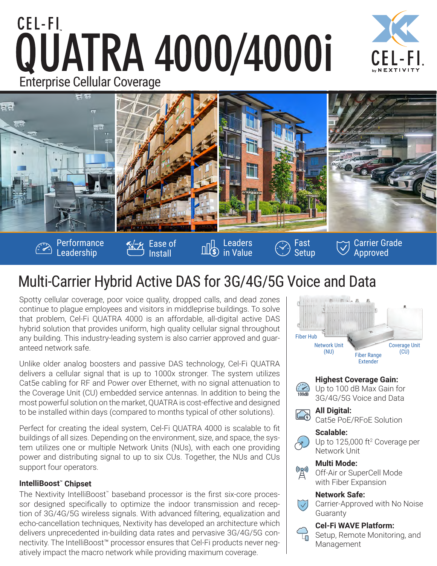# CEL-FI QUATRA 4000/4000i Enterprise Cellular Coverage





## Multi-Carrier Hybrid Active DAS for 3G/4G/5G Voice and Data

Spotty cellular coverage, poor voice quality, dropped calls, and dead zones continue to plague employees and visitors in middleprise buildings. To solve that problem, Cel-Fi QUATRA 4000 is an affordable, all-digital active DAS hybrid solution that provides uniform, high quality cellular signal throughout any building. This industry-leading system is also carrier approved and guaranteed network safe.

Unlike older analog boosters and passive DAS technology, Cel-Fi QUATRA delivers a cellular signal that is up to 1000x stronger. The system utilizes Cat5e cabling for RF and Power over Ethernet, with no signal attenuation to the Coverage Unit (CU) embedded service antennas. In addition to being the most powerful solution on the market, QUATRA is cost-effective and designed to be installed within days (compared to months typical of other solutions).

Perfect for creating the ideal system, Cel-Fi QUATRA 4000 is scalable to fit buildings of all sizes. Depending on the environment, size, and space, the system utilizes one or multiple Network Units (NUs), with each one providing power and distributing signal to up to six CUs. Together, the NUs and CUs support four operators.

### **IntelliBoost™ Chipset**

The Nextivity IntelliBoost™ baseband processor is the first six-core processor designed specifically to optimize the indoor transmission and reception of 3G/4G/5G wireless signals. With advanced filtering, equalization and echo-cancellation techniques, Nextivity has developed an architecture which delivers unprecedented in-building data rates and pervasive 3G/4G/5G connectivity. The IntelliBoost™ processor ensures that Cel-Fi products never negatively impact the macro network while providing maximum coverage.



### **Highest Coverage Gain:**

 $\frac{1}{100}$ Up to 100 dB Max Gain for 3G/4G/5G Voice and Data



**All Digital:** 

Cat5e PoE/RFoE Solution

### **Scalable:**



Up to 125,000 ft<sup>2</sup> Coverage per Network Unit

### **Multi Mode:**



Off-Air or SuperCell Mode with Fiber Expansion

#### **Network Safe:**



Carrier-Approved with No Noise Guaranty

### **Cel-Fi WAVE Platform:**

Setup, Remote Monitoring, and Management